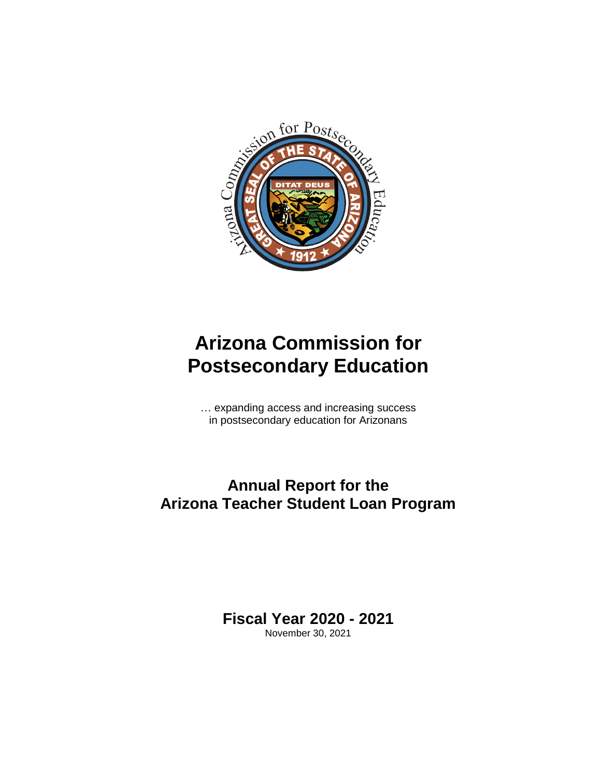

# **Arizona Commission for Postsecondary Education**

… expanding access and increasing success in postsecondary education for Arizonans

# **Annual Report for the Arizona Teacher Student Loan Program**

**Fiscal Year 2020 - 2021** November 30, 2021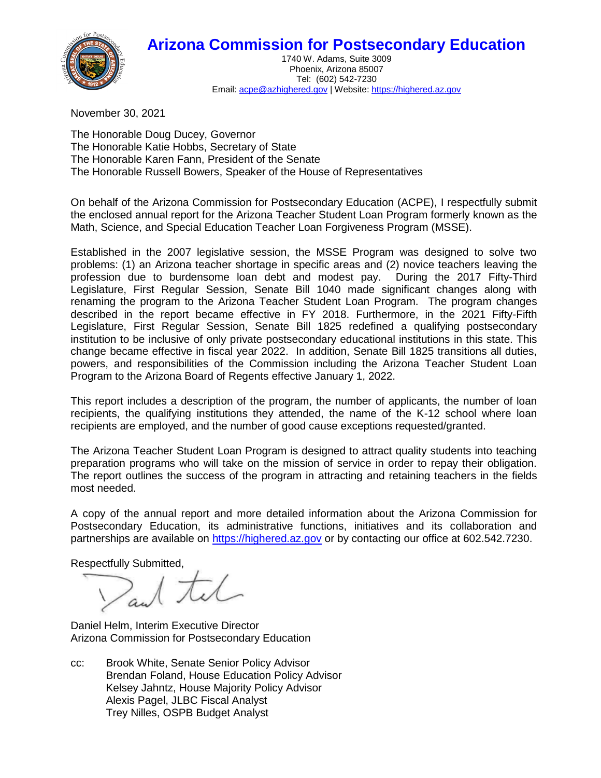## **Arizona Commission for Postsecondary Education**



1740 W. Adams, Suite 3009 Phoenix, Arizona 85007 Tel: (602) 542-7230 Email[: acpe@azhighered.gov](mailto:acpe@azhighered.gov) | Website[: https://highered.az.gov](https://highered.az.gov/)

November 30, 2021

The Honorable Doug Ducey, Governor The Honorable Katie Hobbs, Secretary of State The Honorable Karen Fann, President of the Senate The Honorable Russell Bowers, Speaker of the House of Representatives

On behalf of the Arizona Commission for Postsecondary Education (ACPE), I respectfully submit the enclosed annual report for the Arizona Teacher Student Loan Program formerly known as the Math, Science, and Special Education Teacher Loan Forgiveness Program (MSSE).

Established in the 2007 legislative session, the MSSE Program was designed to solve two problems: (1) an Arizona teacher shortage in specific areas and (2) novice teachers leaving the profession due to burdensome loan debt and modest pay. During the 2017 Fifty-Third Legislature, First Regular Session, Senate Bill 1040 made significant changes along with renaming the program to the Arizona Teacher Student Loan Program. The program changes described in the report became effective in FY 2018. Furthermore, in the 2021 Fifty-Fifth Legislature, First Regular Session, Senate Bill 1825 redefined a qualifying postsecondary institution to be inclusive of only private postsecondary educational institutions in this state. This change became effective in fiscal year 2022. In addition, Senate Bill 1825 transitions all duties, powers, and responsibilities of the Commission including the Arizona Teacher Student Loan Program to the Arizona Board of Regents effective January 1, 2022.

This report includes a description of the program, the number of applicants, the number of loan recipients, the qualifying institutions they attended, the name of the K-12 school where loan recipients are employed, and the number of good cause exceptions requested/granted.

The Arizona Teacher Student Loan Program is designed to attract quality students into teaching preparation programs who will take on the mission of service in order to repay their obligation. The report outlines the success of the program in attracting and retaining teachers in the fields most needed.

A copy of the annual report and more detailed information about the Arizona Commission for Postsecondary Education, its administrative functions, initiatives and its collaboration and partnerships are available on [https://highered.az.gov](https://highered.az.gov/) or by contacting our office at 602.542.7230.

Respectfully Submitted,

Daniel Helm, Interim Executive Director Arizona Commission for Postsecondary Education

cc: Brook White, Senate Senior Policy Advisor Brendan Foland, House Education Policy Advisor Kelsey Jahntz, House Majority Policy Advisor Alexis Pagel, JLBC Fiscal Analyst Trey Nilles, OSPB Budget Analyst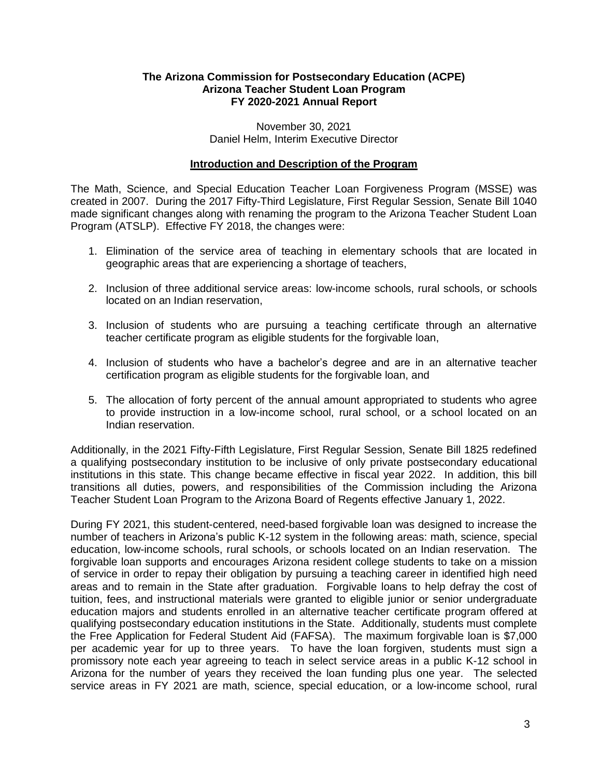#### **The Arizona Commission for Postsecondary Education (ACPE) Arizona Teacher Student Loan Program FY 2020-2021 Annual Report**

November 30, 2021 Daniel Helm, Interim Executive Director

#### **Introduction and Description of the Program**

The Math, Science, and Special Education Teacher Loan Forgiveness Program (MSSE) was created in 2007. During the 2017 Fifty-Third Legislature, First Regular Session, Senate Bill 1040 made significant changes along with renaming the program to the Arizona Teacher Student Loan Program (ATSLP). Effective FY 2018, the changes were:

- 1. Elimination of the service area of teaching in elementary schools that are located in geographic areas that are experiencing a shortage of teachers,
- 2. Inclusion of three additional service areas: low-income schools, rural schools, or schools located on an Indian reservation,
- 3. Inclusion of students who are pursuing a teaching certificate through an alternative teacher certificate program as eligible students for the forgivable loan,
- 4. Inclusion of students who have a bachelor's degree and are in an alternative teacher certification program as eligible students for the forgivable loan, and
- 5. The allocation of forty percent of the annual amount appropriated to students who agree to provide instruction in a low-income school, rural school, or a school located on an Indian reservation.

Additionally, in the 2021 Fifty-Fifth Legislature, First Regular Session, Senate Bill 1825 redefined a qualifying postsecondary institution to be inclusive of only private postsecondary educational institutions in this state. This change became effective in fiscal year 2022. In addition, this bill transitions all duties, powers, and responsibilities of the Commission including the Arizona Teacher Student Loan Program to the Arizona Board of Regents effective January 1, 2022.

During FY 2021, this student-centered, need-based forgivable loan was designed to increase the number of teachers in Arizona's public K-12 system in the following areas: math, science, special education, low-income schools, rural schools, or schools located on an Indian reservation. The forgivable loan supports and encourages Arizona resident college students to take on a mission of service in order to repay their obligation by pursuing a teaching career in identified high need areas and to remain in the State after graduation. Forgivable loans to help defray the cost of tuition, fees, and instructional materials were granted to eligible junior or senior undergraduate education majors and students enrolled in an alternative teacher certificate program offered at qualifying postsecondary education institutions in the State. Additionally, students must complete the Free Application for Federal Student Aid (FAFSA). The maximum forgivable loan is \$7,000 per academic year for up to three years. To have the loan forgiven, students must sign a promissory note each year agreeing to teach in select service areas in a public K-12 school in Arizona for the number of years they received the loan funding plus one year. The selected service areas in FY 2021 are math, science, special education, or a low-income school, rural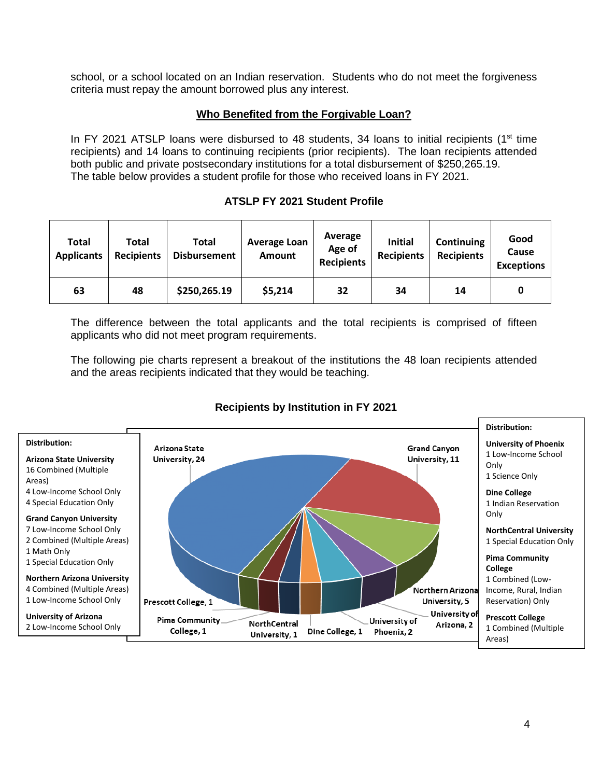school, or a school located on an Indian reservation. Students who do not meet the forgiveness criteria must repay the amount borrowed plus any interest.

#### **Who Benefited from the Forgivable Loan?**

In FY 2021 ATSLP loans were disbursed to 48 students, 34 loans to initial recipients ( $1<sup>st</sup>$  time recipients) and 14 loans to continuing recipients (prior recipients). The loan recipients attended both public and private postsecondary institutions for a total disbursement of \$250,265.19. The table below provides a student profile for those who received loans in FY 2021.

#### **ATSLP FY 2021 Student Profile**

| Total<br><b>Applicants</b> | Total<br><b>Recipients</b> | Total<br><b>Disbursement</b> | <b>Average Loan</b><br><b>Amount</b> | Average<br>Age of<br><b>Recipients</b> | <b>Initial</b><br><b>Recipients</b> | Continuing<br><b>Recipients</b> | Good<br>Cause<br><b>Exceptions</b> |
|----------------------------|----------------------------|------------------------------|--------------------------------------|----------------------------------------|-------------------------------------|---------------------------------|------------------------------------|
| 63                         | 48                         | \$250,265.19                 | \$5,214                              | 32                                     | 34                                  | 14                              | 0                                  |

The difference between the total applicants and the total recipients is comprised of fifteen applicants who did not meet program requirements.

The following pie charts represent a breakout of the institutions the 48 loan recipients attended and the areas recipients indicated that they would be teaching.



### **Recipients by Institution in FY 2021**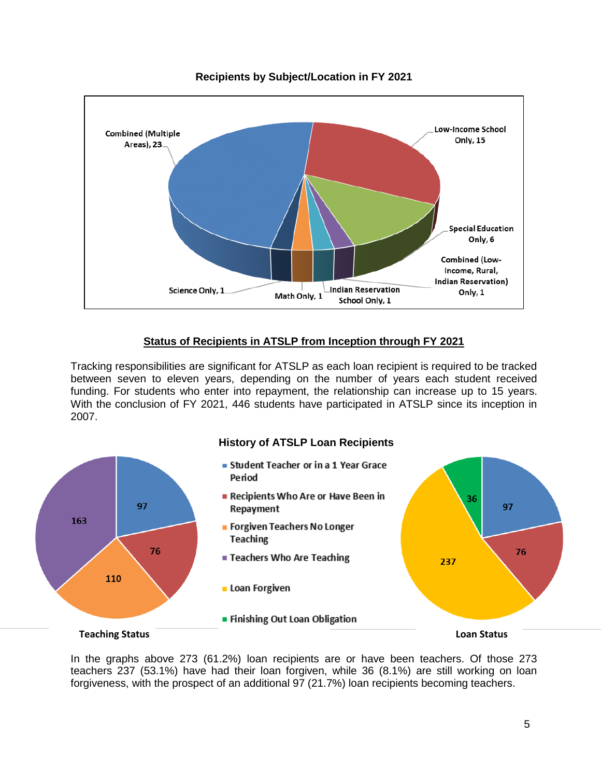

#### **Recipients by Subject/Location in FY 2021**

#### **Status of Recipients in ATSLP from Inception through FY 2021**

Tracking responsibilities are significant for ATSLP as each loan recipient is required to be tracked between seven to eleven years, depending on the number of years each student received funding. For students who enter into repayment, the relationship can increase up to 15 years. With the conclusion of FY 2021, 446 students have participated in ATSLP since its inception in 2007.



In the graphs above 273 (61.2%) loan recipients are or have been teachers. Of those 273 teachers 237 (53.1%) have had their loan forgiven, while 36 (8.1%) are still working on loan forgiveness, with the prospect of an additional 97 (21.7%) loan recipients becoming teachers.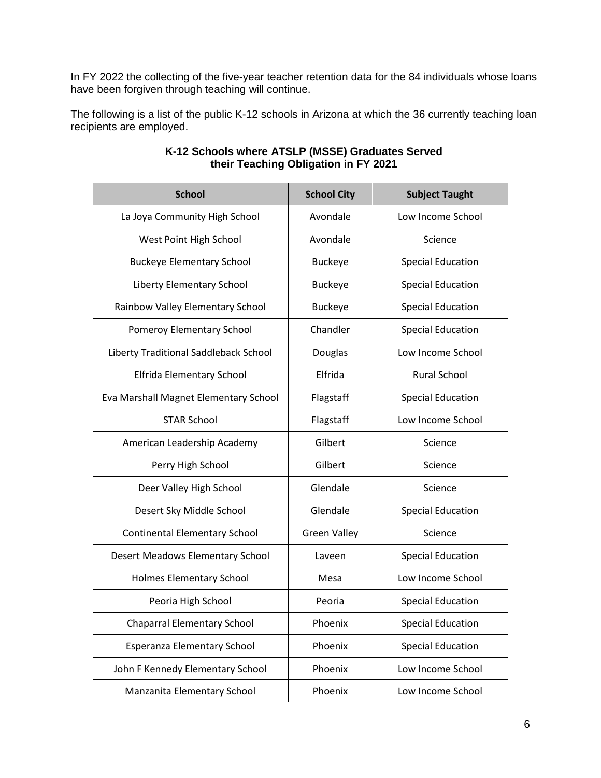In FY 2022 the collecting of the five-year teacher retention data for the 84 individuals whose loans have been forgiven through teaching will continue.

The following is a list of the public K-12 schools in Arizona at which the 36 currently teaching loan recipients are employed.

| <b>School</b>                         | <b>School City</b>  | <b>Subject Taught</b>    |  |
|---------------------------------------|---------------------|--------------------------|--|
| La Joya Community High School         | Avondale            | Low Income School        |  |
| West Point High School                | Avondale            | Science                  |  |
| <b>Buckeye Elementary School</b>      | <b>Buckeye</b>      | <b>Special Education</b> |  |
| Liberty Elementary School             | <b>Buckeye</b>      | <b>Special Education</b> |  |
| Rainbow Valley Elementary School      | <b>Buckeye</b>      | <b>Special Education</b> |  |
| Pomeroy Elementary School             | Chandler            | <b>Special Education</b> |  |
| Liberty Traditional Saddleback School | Douglas             | Low Income School        |  |
| Elfrida Elementary School             | Elfrida             | <b>Rural School</b>      |  |
| Eva Marshall Magnet Elementary School | Flagstaff           | <b>Special Education</b> |  |
| <b>STAR School</b>                    | Flagstaff           | Low Income School        |  |
| American Leadership Academy           | Gilbert             | Science                  |  |
| Perry High School                     | Gilbert             | Science                  |  |
| Deer Valley High School               | Glendale            | Science                  |  |
| Desert Sky Middle School              | Glendale            | <b>Special Education</b> |  |
| <b>Continental Elementary School</b>  | <b>Green Valley</b> | Science                  |  |
| Desert Meadows Elementary School      | Laveen              | <b>Special Education</b> |  |
| Holmes Elementary School              | Mesa                | Low Income School        |  |
| Peoria High School                    | Peoria              | <b>Special Education</b> |  |
| <b>Chaparral Elementary School</b>    | Phoenix             | <b>Special Education</b> |  |
| Esperanza Elementary School           | Phoenix             | <b>Special Education</b> |  |
| John F Kennedy Elementary School      | Phoenix             | Low Income School        |  |
| Manzanita Elementary School           | Phoenix             | Low Income School        |  |

#### **K-12 Schools where ATSLP (MSSE) Graduates Served their Teaching Obligation in FY 2021**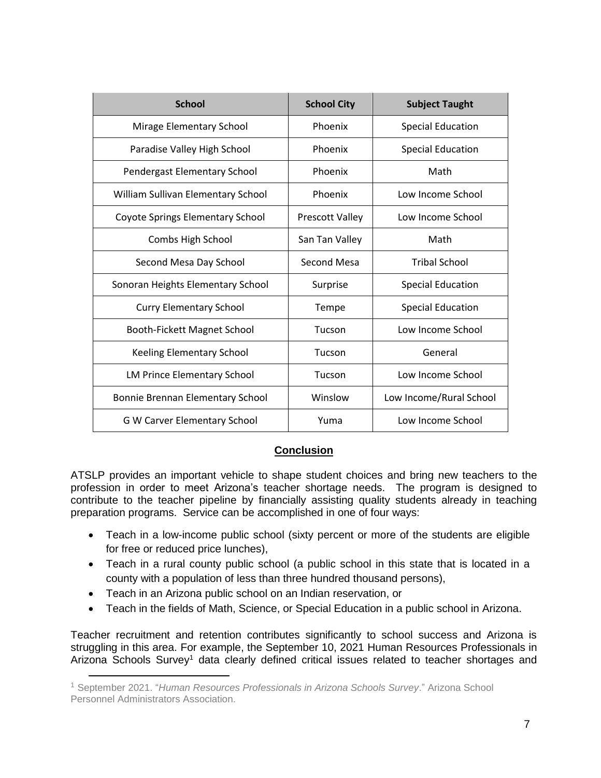| <b>School</b>                       | <b>School City</b>     | <b>Subject Taught</b>    |  |
|-------------------------------------|------------------------|--------------------------|--|
| Mirage Elementary School            | Phoenix                | <b>Special Education</b> |  |
| Paradise Valley High School         | Phoenix                | <b>Special Education</b> |  |
| Pendergast Elementary School        | Phoenix                | Math                     |  |
| William Sullivan Elementary School  | Phoenix                | Low Income School        |  |
| Coyote Springs Elementary School    | <b>Prescott Valley</b> | Low Income School        |  |
| Combs High School                   | San Tan Valley         | Math                     |  |
| Second Mesa Day School              | Second Mesa            | <b>Tribal School</b>     |  |
| Sonoran Heights Elementary School   | Surprise               | <b>Special Education</b> |  |
| <b>Curry Elementary School</b>      | Tempe                  | <b>Special Education</b> |  |
| Booth-Fickett Magnet School         | Tucson                 | Low Income School        |  |
| <b>Keeling Elementary School</b>    | Tucson                 | General                  |  |
| LM Prince Elementary School         | Tucson                 | Low Income School        |  |
| Bonnie Brennan Elementary School    | Winslow                | Low Income/Rural School  |  |
| <b>G W Carver Elementary School</b> | Yuma                   | Low Income School        |  |

### **Conclusion**

ATSLP provides an important vehicle to shape student choices and bring new teachers to the profession in order to meet Arizona's teacher shortage needs. The program is designed to contribute to the teacher pipeline by financially assisting quality students already in teaching preparation programs. Service can be accomplished in one of four ways:

- Teach in a low-income public school (sixty percent or more of the students are eligible for free or reduced price lunches),
- Teach in a rural county public school (a public school in this state that is located in a county with a population of less than three hundred thousand persons),
- Teach in an Arizona public school on an Indian reservation, or

l

Teach in the fields of Math, Science, or Special Education in a public school in Arizona.

Teacher recruitment and retention contributes significantly to school success and Arizona is struggling in this area. For example, the September 10, 2021 Human Resources Professionals in Arizona Schools Survey<sup>1</sup> data clearly defined critical issues related to teacher shortages and

<sup>1</sup> September 2021. "*Human Resources Professionals in Arizona Schools Survey*." Arizona School Personnel Administrators Association.